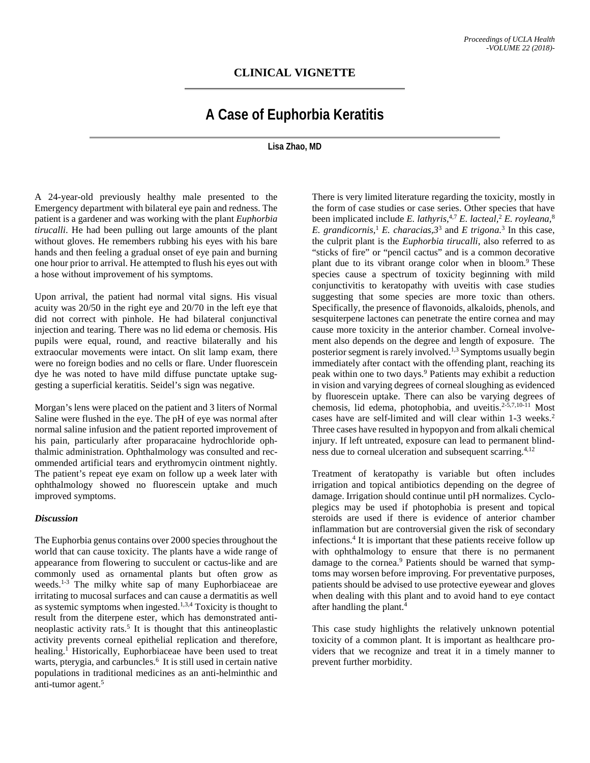## **CLINICAL VIGNETTE**

# **A Case of Euphorbia Keratitis**

#### **Lisa Zhao, MD**

A 24-year-old previously healthy male presented to the Emergency department with bilateral eye pain and redness. The patient is a gardener and was working with the plant *Euphorbia tirucalli*. He had been pulling out large amounts of the plant without gloves. He remembers rubbing his eyes with his bare hands and then feeling a gradual onset of eye pain and burning one hour prior to arrival. He attempted to flush his eyes out with a hose without improvement of his symptoms.

Upon arrival, the patient had normal vital signs. His visual acuity was 20/50 in the right eye and 20/70 in the left eye that did not correct with pinhole. He had bilateral conjunctival injection and tearing. There was no lid edema or chemosis. His pupils were equal, round, and reactive bilaterally and his extraocular movements were intact. On slit lamp exam, there were no foreign bodies and no cells or flare. Under fluorescein dye he was noted to have mild diffuse punctate uptake suggesting a superficial keratitis. Seidel's sign was negative.

Morgan's lens were placed on the patient and 3 liters of Normal Saline were flushed in the eye. The pH of eye was normal after normal saline infusion and the patient reported improvement of his pain, particularly after proparacaine hydrochloride ophthalmic administration. Ophthalmology was consulted and recommended artificial tears and erythromycin ointment nightly. The patient's repeat eye exam on follow up a week later with ophthalmology showed no fluorescein uptake and much improved symptoms.

#### *Discussion*

The Euphorbia genus contains over 2000 species throughout the world that can cause toxicity. The plants have a wide range of appearance from flowering to succulent or cactus-like and are commonly used as ornamental plants but often grow as weeds. 1-3 The milky white sap of many Euphorbiaceae are irritating to mucosal surfaces and can cause a dermatitis as well as systemic symptoms when ingested.<sup>1,3,4</sup> Toxicity is thought to result from the diterpene ester, which has demonstrated antineoplastic activity rats. <sup>5</sup> It is thought that this antineoplastic activity prevents corneal epithelial replication and therefore, healing. <sup>1</sup> Historically, Euphorbiaceae have been used to treat warts, pterygia, and carbuncles.<sup>6</sup> It is still used in certain native populations in traditional medicines as an anti-helminthic and anti-tumor agent. 5

There is very limited literature regarding the toxicity, mostly in the form of case studies or case series. Other species that have been implicated include *E. lathyris,* 4,7 *E. lacteal,* <sup>2</sup> *E. royleana,* 8 *E.* grandicornis,<sup>1</sup> *E.* characias,  $3^3$  and *E trigona*.<sup>3</sup> In this case, the culprit plant is the *Euphorbia tirucalli*, also referred to as "sticks of fire" or "pencil cactus" and is a common decorative plant due to its vibrant orange color when in bloom.<sup>9</sup> These species cause a spectrum of toxicity beginning with mild conjunctivitis to keratopathy with uveitis with case studies suggesting that some species are more toxic than others. Specifically, the presence of flavonoids, alkaloids, phenols, and sesquiterpene lactones can penetrate the entire cornea and may cause more toxicity in the anterior chamber. Corneal involvement also depends on the degree and length of exposure. The posterior segment is rarely involved. 1,3 Symptoms usually begin immediately after contact with the offending plant, reaching its peak within one to two days.9 Patients may exhibit a reduction in vision and varying degrees of corneal sloughing as evidenced by fluorescein uptake. There can also be varying degrees of chemosis, lid edema, photophobia, and uveitis. 2-5,7,10-11 Most cases have are self-limited and will clear within 1-3 weeks. 2 Three cases have resulted in hypopyon and from alkali chemical injury. If left untreated, exposure can lead to permanent blindness due to corneal ulceration and subsequent scarring. 4,12

Treatment of keratopathy is variable but often includes irrigation and topical antibiotics depending on the degree of damage. Irrigation should continue until pH normalizes. Cycloplegics may be used if photophobia is present and topical steroids are used if there is evidence of anterior chamber inflammation but are controversial given the risk of secondary infections. <sup>4</sup> It is important that these patients receive follow up with ophthalmology to ensure that there is no permanent damage to the cornea.<sup>9</sup> Patients should be warned that symptoms may worsen before improving. For preventative purposes, patients should be advised to use protective eyewear and gloves when dealing with this plant and to avoid hand to eye contact after handling the plant. 4

This case study highlights the relatively unknown potential toxicity of a common plant. It is important as healthcare providers that we recognize and treat it in a timely manner to prevent further morbidity.